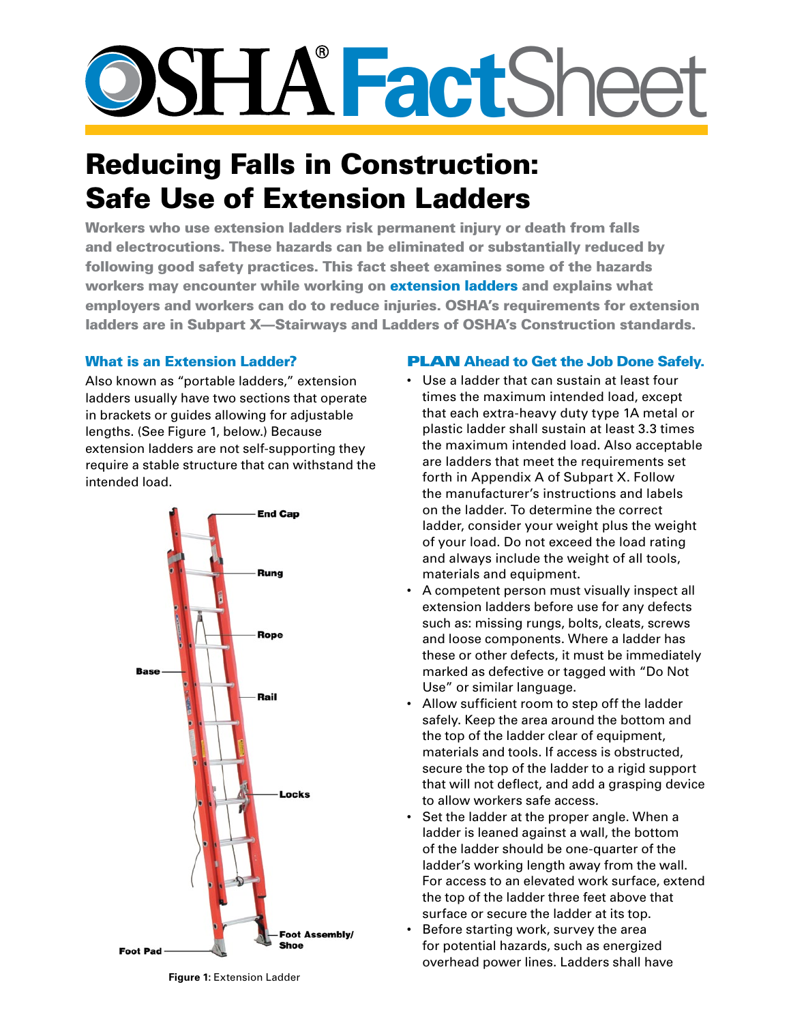# **SSHA FactShee**

# Reducing Falls in Construction: Safe Use of Extension Ladders

Workers who use extension ladders risk permanent injury or death from falls and electrocutions. These hazards can be eliminated or substantially reduced by following good safety practices. This fact sheet examines some of the hazards workers may encounter while working on extension ladders and explains what employers and workers can do to reduce injuries. OSHA's requirements for extension ladders are in Subpart X—Stairways and Ladders of OSHA's Construction standards.

## What is an Extension Ladder?

Also known as "portable ladders," extension ladders usually have two sections that operate in brackets or guides allowing for adjustable lengths. (See Figure 1, below.) Because extension ladders are not self-supporting they require a stable structure that can withstand the intended load.



## **PLAN** Ahead to Get the Job Done Safely.

- • Use a ladder that can sustain at least four times the maximum intended load, except that each extra-heavy duty type 1A metal or plastic ladder shall sustain at least 3.3 times the maximum intended load. Also acceptable are ladders that meet the requirements set forth in Appendix A of Subpart X. Follow the manufacturer's instructions and labels on the ladder. To determine the correct ladder, consider your weight plus the weight of your load. Do not exceed the load rating and always include the weight of all tools, materials and equipment.
- • A competent person must visually inspect all extension ladders before use for any defects such as: missing rungs, bolts, cleats, screws and loose components. Where a ladder has these or other defects, it must be immediately marked as defective or tagged with "Do Not Use" or similar language.
- • Allow sufficient room to step off the ladder safely. Keep the area around the bottom and the top of the ladder clear of equipment, materials and tools. If access is obstructed, secure the top of the ladder to a rigid support that will not deflect, and add a grasping device to allow workers safe access.
- Set the ladder at the proper angle. When a ladder is leaned against a wall, the bottom of the ladder should be one-quarter of the ladder's working length away from the wall. For access to an elevated work surface, extend the top of the ladder three feet above that surface or secure the ladder at its top.
- Before starting work, survey the area for potential hazards, such as energized overhead power lines. Ladders shall have

**Figure 1:** Extension Ladder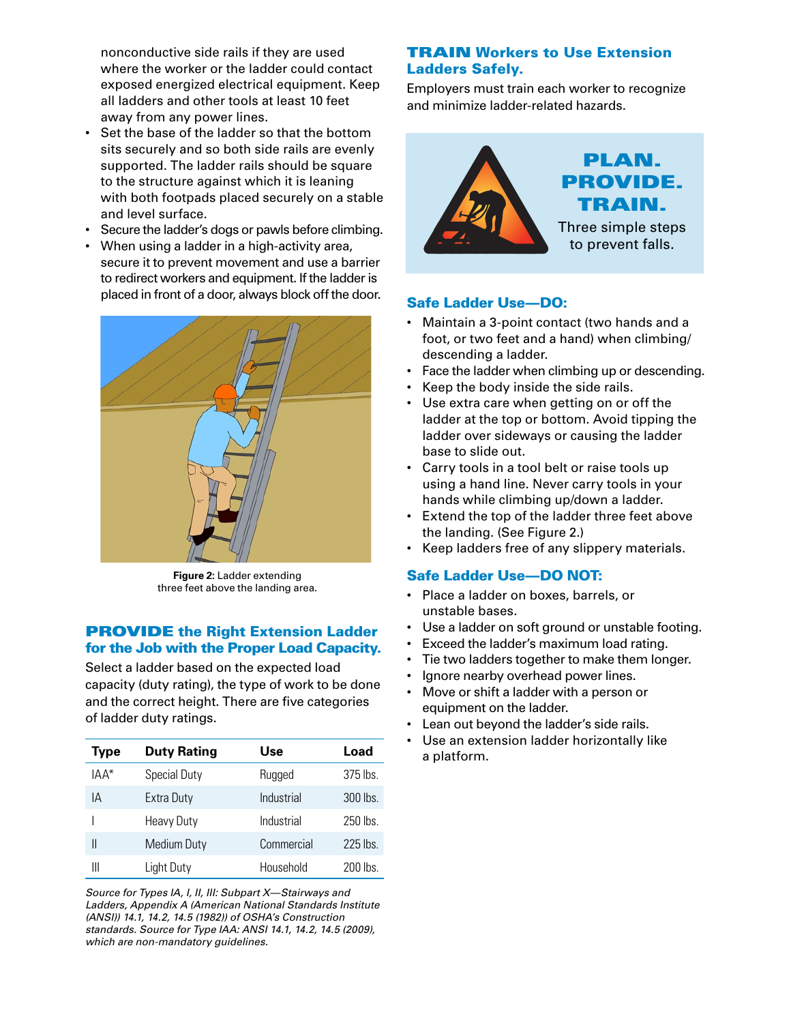nonconductive side rails if they are used where the worker or the ladder could contact exposed energized electrical equipment. Keep all ladders and other tools at least 10 feet away from any power lines.

- Set the base of the ladder so that the bottom sits securely and so both side rails are evenly supported. The ladder rails should be square to the structure against which it is leaning with both footpads placed securely on a stable and level surface.
- Secure the ladder's dogs or pawls before climbing.
- When using a ladder in a high-activity area, secure it to prevent movement and use a barrier to redirect workers and equipment. If the ladder is placed in front of a door, always block off the door.



**Figure 2:** Ladder extending three feet above the landing area.

#### PROVIDE the Right Extension Ladder for the Job with the Proper Load Capacity.

Select a ladder based on the expected load capacity (duty rating), the type of work to be done and the correct height. There are five categories of ladder duty ratings.

| Type   | <b>Duty Rating</b>  | Use        | Load       |
|--------|---------------------|------------|------------|
| $IAA*$ | <b>Special Duty</b> | Rugged     | $375$ lbs. |
| ΙA     | Extra Duty          | Industrial | 300 lbs.   |
|        | <b>Heavy Duty</b>   | Industrial | 250 lbs.   |
| Ш      | Medium Duty         | Commercial | $225$ lbs  |
| Ш      | Light Duty          | Household  | 200 lbs.   |

*Source for Types IA, I, II, III: Subpart X—Stairways and Ladders, Appendix A (American National Standards Institute (ANSI)) 14.1, 14.2, 14.5 (1982)) of OSHA's Construction standards. Source for Type IAA: ANSI 14.1, 14.2, 14.5 (2009), which are non-mandatory guidelines.*

#### **TRAIN Workers to Use Extension** Ladders Safely.

Employers must train each worker to recognize and minimize ladder-related hazards.



#### Safe Ladder Use—DO:

- Maintain a 3-point contact (two hands and a foot, or two feet and a hand) when climbing/ descending a ladder.
- Face the ladder when climbing up or descending.
- Keep the body inside the side rails.
- Use extra care when getting on or off the ladder at the top or bottom. Avoid tipping the ladder over sideways or causing the ladder base to slide out.
- Carry tools in a tool belt or raise tools up using a hand line. Never carry tools in your hands while climbing up/down a ladder.
- • Extend the top of the ladder three feet above the landing. (See Figure 2.)
- • Keep ladders free of any slippery materials.

#### Safe Ladder Use—DO NOT:

- • Place a ladder on boxes, barrels, or unstable bases.
- Use a ladder on soft ground or unstable footing.
- Exceed the ladder's maximum load rating.
- Tie two ladders together to make them longer.
- Ignore nearby overhead power lines.
- Move or shift a ladder with a person or equipment on the ladder.
- Lean out beyond the ladder's side rails.
- • Use an extension ladder horizontally like a platform.